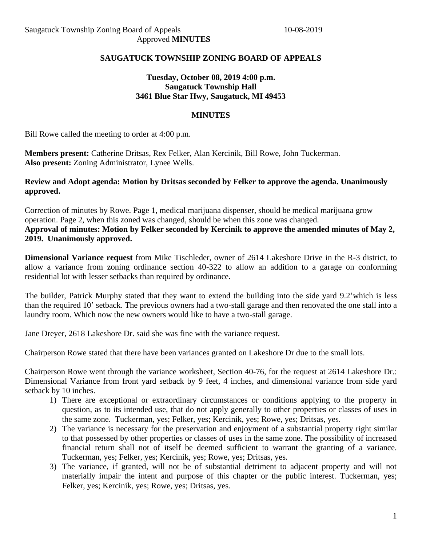# **SAUGATUCK TOWNSHIP ZONING BOARD OF APPEALS**

# **Tuesday, October 08, 2019 4:00 p.m. Saugatuck Township Hall 3461 Blue Star Hwy, Saugatuck, MI 49453**

#### **MINUTES**

Bill Rowe called the meeting to order at 4:00 p.m.

**Members present:** Catherine Dritsas, Rex Felker, Alan Kercinik, Bill Rowe, John Tuckerman. **Also present:** Zoning Administrator, Lynee Wells.

### **Review and Adopt agenda: Motion by Dritsas seconded by Felker to approve the agenda. Unanimously approved.**

Correction of minutes by Rowe. Page 1, medical marijuana dispenser, should be medical marijuana grow operation. Page 2, when this zoned was changed, should be when this zone was changed. **Approval of minutes: Motion by Felker seconded by Kercinik to approve the amended minutes of May 2, 2019. Unanimously approved.**

**Dimensional Variance request** from Mike Tischleder, owner of 2614 Lakeshore Drive in the R-3 district, to allow a variance from zoning ordinance section 40-322 to allow an addition to a garage on conforming residential lot with lesser setbacks than required by ordinance.

The builder, Patrick Murphy stated that they want to extend the building into the side yard 9.2'which is less than the required 10' setback. The previous owners had a two-stall garage and then renovated the one stall into a laundry room. Which now the new owners would like to have a two-stall garage.

Jane Dreyer, 2618 Lakeshore Dr. said she was fine with the variance request.

Chairperson Rowe stated that there have been variances granted on Lakeshore Dr due to the small lots.

Chairperson Rowe went through the variance worksheet, Section 40-76, for the request at 2614 Lakeshore Dr.: Dimensional Variance from front yard setback by 9 feet, 4 inches, and dimensional variance from side yard setback by 10 inches.

- 1) There are exceptional or extraordinary circumstances or conditions applying to the property in question, as to its intended use, that do not apply generally to other properties or classes of uses in the same zone. Tuckerman, yes; Felker, yes; Kercinik, yes; Rowe, yes; Dritsas, yes.
- 2) The variance is necessary for the preservation and enjoyment of a substantial property right similar to that possessed by other properties or classes of uses in the same zone. The possibility of increased financial return shall not of itself be deemed sufficient to warrant the granting of a variance. Tuckerman, yes; Felker, yes; Kercinik, yes; Rowe, yes; Dritsas, yes.
- 3) The variance, if granted, will not be of substantial detriment to adjacent property and will not materially impair the intent and purpose of this chapter or the public interest. Tuckerman, yes; Felker, yes; Kercinik, yes; Rowe, yes; Dritsas, yes.